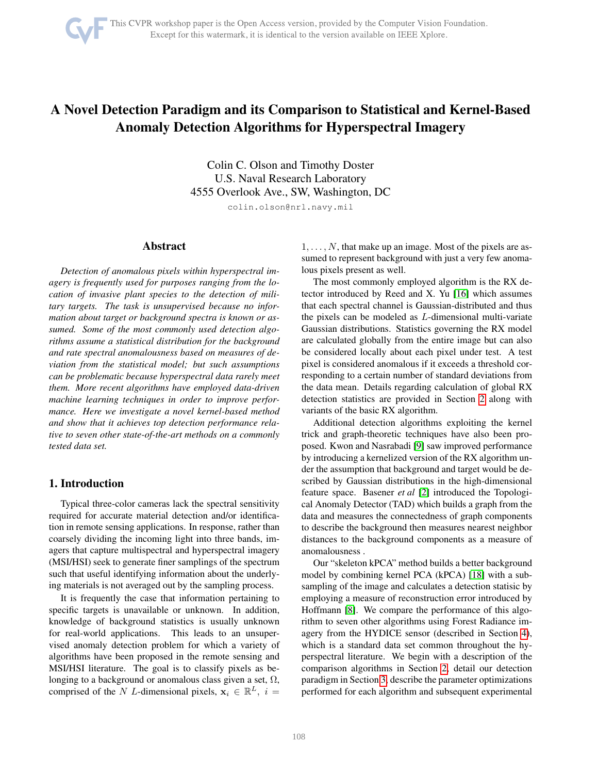# A Novel Detection Paradigm and its Comparison to Statistical and Kernel-Based Anomaly Detection Algorithms for Hyperspectral Imagery

Colin C. Olson and Timothy Doster U.S. Naval Research Laboratory 4555 Overlook Ave., SW, Washington, DC

colin.olson@nrl.navy.mil

## Abstract

*Detection of anomalous pixels within hyperspectral imagery is frequently used for purposes ranging from the location of invasive plant species to the detection of military targets. The task is unsupervised because no information about target or background spectra is known or assumed. Some of the most commonly used detection algorithms assume a statistical distribution for the background and rate spectral anomalousness based on measures of deviation from the statistical model; but such assumptions can be problematic because hyperspectral data rarely meet them. More recent algorithms have employed data-driven machine learning techniques in order to improve performance. Here we investigate a novel kernel-based method and show that it achieves top detection performance relative to seven other state-of-the-art methods on a commonly tested data set.*

# 1. Introduction

Typical three-color cameras lack the spectral sensitivity required for accurate material detection and/or identification in remote sensing applications. In response, rather than coarsely dividing the incoming light into three bands, imagers that capture multispectral and hyperspectral imagery (MSI/HSI) seek to generate finer samplings of the spectrum such that useful identifying information about the underlying materials is not averaged out by the sampling process.

It is frequently the case that information pertaining to specific targets is unavailable or unknown. In addition, knowledge of background statistics is usually unknown for real-world applications. This leads to an unsupervised anomaly detection problem for which a variety of algorithms have been proposed in the remote sensing and MSI/HSI literature. The goal is to classify pixels as belonging to a background or anomalous class given a set,  $\Omega$ , comprised of the N L-dimensional pixels,  $x_i \in \mathbb{R}^L$ ,  $i =$ 

 $1, \ldots, N$ , that make up an image. Most of the pixels are assumed to represent background with just a very few anomalous pixels present as well.

The most commonly employed algorithm is the RX detector introduced by Reed and X. Yu [\[16\]](#page-6-0) which assumes that each spectral channel is Gaussian-distributed and thus the pixels can be modeled as L-dimensional multi-variate Gaussian distributions. Statistics governing the RX model are calculated globally from the entire image but can also be considered locally about each pixel under test. A test pixel is considered anomalous if it exceeds a threshold corresponding to a certain number of standard deviations from the data mean. Details regarding calculation of global RX detection statistics are provided in Section [2](#page-1-0) along with variants of the basic RX algorithm.

Additional detection algorithms exploiting the kernel trick and graph-theoretic techniques have also been proposed. Kwon and Nasrabadi [\[9\]](#page-6-1) saw improved performance by introducing a kernelized version of the RX algorithm under the assumption that background and target would be described by Gaussian distributions in the high-dimensional feature space. Basener *et al* [\[2\]](#page-5-0) introduced the Topological Anomaly Detector (TAD) which builds a graph from the data and measures the connectedness of graph components to describe the background then measures nearest neighbor distances to the background components as a measure of anomalousness .

Our "skeleton kPCA" method builds a better background model by combining kernel PCA (kPCA) [\[18\]](#page-6-2) with a subsampling of the image and calculates a detection statisic by employing a measure of reconstruction error introduced by Hoffmann [\[8\]](#page-6-3). We compare the performance of this algorithm to seven other algorithms using Forest Radiance imagery from the HYDICE sensor (described in Section [4\)](#page-3-0), which is a standard data set common throughout the hyperspectral literature. We begin with a description of the comparison algorithms in Section [2,](#page-1-0) detail our detection paradigm in Section [3,](#page-2-0) describe the parameter optimizations performed for each algorithm and subsequent experimental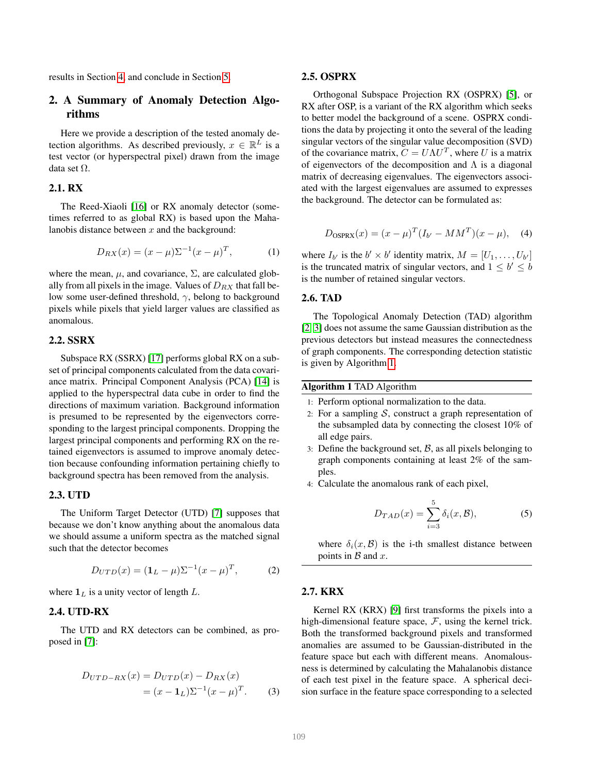results in Section [4,](#page-3-0) and conclude in Section [5.](#page-5-1)

# <span id="page-1-0"></span>2. A Summary of Anomaly Detection Algorithms

Here we provide a description of the tested anomaly detection algorithms. As described previously,  $x \in \mathbb{R}^L$  is a test vector (or hyperspectral pixel) drawn from the image data set  $\Omega$ .

# 2.1. RX

The Reed-Xiaoli [\[16\]](#page-6-0) or RX anomaly detector (sometimes referred to as global RX) is based upon the Mahalanobis distance between  $x$  and the background:

$$
D_{RX}(x) = (x - \mu)\Sigma^{-1}(x - \mu)^{T},
$$
 (1)

where the mean,  $\mu$ , and covariance,  $\Sigma$ , are calculated globally from all pixels in the image. Values of  $D_{RX}$  that fall below some user-defined threshold,  $\gamma$ , belong to background pixels while pixels that yield larger values are classified as anomalous.

## 2.2. SSRX

Subspace RX (SSRX) [\[17\]](#page-6-4) performs global RX on a subset of principal components calculated from the data covariance matrix. Principal Component Analysis (PCA) [\[14\]](#page-6-5) is applied to the hyperspectral data cube in order to find the directions of maximum variation. Background information is presumed to be represented by the eigenvectors corresponding to the largest principal components. Dropping the largest principal components and performing RX on the retained eigenvectors is assumed to improve anomaly detection because confounding information pertaining chiefly to background spectra has been removed from the analysis.

#### 2.3. UTD

The Uniform Target Detector (UTD) [\[7\]](#page-6-6) supposes that because we don't know anything about the anomalous data we should assume a uniform spectra as the matched signal such that the detector becomes

$$
D_{UTD}(x) = (\mathbf{1}_L - \mu) \Sigma^{-1} (x - \mu)^T, \tag{2}
$$

where  $\mathbf{1}_L$  is a unity vector of length  $L$ .

# 2.4. UTD-RX

The UTD and RX detectors can be combined, as proposed in [\[7\]](#page-6-6):

$$
D_{UTD-RX}(x) = D_{UTD}(x) - D_{RX}(x)
$$
  
=  $(x - \mathbf{1}_L)\Sigma^{-1}(x - \mu)^T$ . (3)

#### 2.5. OSPRX

Orthogonal Subspace Projection RX (OSPRX) [\[5\]](#page-5-2), or RX after OSP, is a variant of the RX algorithm which seeks to better model the background of a scene. OSPRX conditions the data by projecting it onto the several of the leading singular vectors of the singular value decomposition (SVD) of the covariance matrix,  $C = U\Lambda U^T$ , where U is a matrix of eigenvectors of the decomposition and  $\Lambda$  is a diagonal matrix of decreasing eigenvalues. The eigenvectors associated with the largest eigenvalues are assumed to expresses the background. The detector can be formulated as:

$$
D_{\text{OSPRX}}(x) = (x - \mu)^{T} (I_{b'} - MM^{T})(x - \mu), \quad (4)
$$

where  $I_{b'}$  is the  $b' \times b'$  identity matrix,  $M = [U_1, \dots, U_{b'}]$ is the truncated matrix of singular vectors, and  $1 \leq b' \leq b$ is the number of retained singular vectors.

## 2.6. TAD

The Topological Anomaly Detection (TAD) algorithm [\[2,](#page-5-0) [3\]](#page-5-3) does not assume the same Gaussian distribution as the previous detectors but instead measures the connectedness of graph components. The corresponding detection statistic is given by Algorithm [1.](#page-1-1)

<span id="page-1-1"></span>Algorithm 1 TAD Algorithm

- 1: Perform optional normalization to the data.
- 2: For a sampling  $S$ , construct a graph representation of the subsampled data by connecting the closest 10% of all edge pairs.
- 3: Define the background set,  $\beta$ , as all pixels belonging to graph components containing at least 2% of the samples.
- 4: Calculate the anomalous rank of each pixel,

$$
D_{TAD}(x) = \sum_{i=3}^{5} \delta_i(x, \mathcal{B}), \tag{5}
$$

where  $\delta_i(x, \mathcal{B})$  is the i-th smallest distance between points in  $\beta$  and  $x$ .

#### 2.7. KRX

Kernel RX (KRX) [\[9\]](#page-6-1) first transforms the pixels into a high-dimensional feature space,  $\mathcal{F}$ , using the kernel trick. Both the transformed background pixels and transformed anomalies are assumed to be Gaussian-distributed in the feature space but each with different means. Anomalousness is determined by calculating the Mahalanobis distance of each test pixel in the feature space. A spherical decision surface in the feature space corresponding to a selected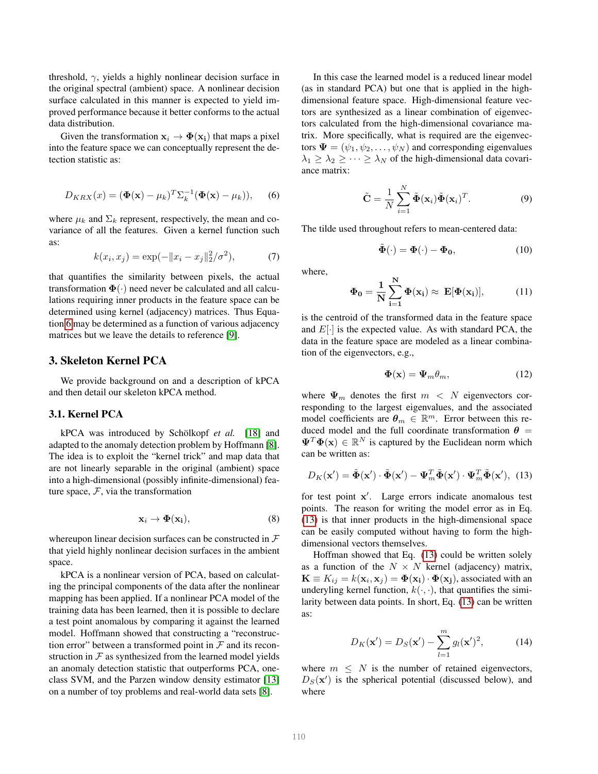threshold,  $\gamma$ , yields a highly nonlinear decision surface in the original spectral (ambient) space. A nonlinear decision surface calculated in this manner is expected to yield improved performance because it better conforms to the actual data distribution.

Given the transformation  $x_i \rightarrow \Phi(x_i)$  that maps a pixel into the feature space we can conceptually represent the detection statistic as:

<span id="page-2-1"></span>
$$
D_{KRX}(x) = (\mathbf{\Phi}(\mathbf{x}) - \mu_k)^T \Sigma_k^{-1} (\mathbf{\Phi}(\mathbf{x}) - \mu_k)), \quad (6)
$$

where  $\mu_k$  and  $\Sigma_k$  represent, respectively, the mean and covariance of all the features. Given a kernel function such as:

$$
k(x_i, x_j) = \exp(-\|x_i - x_j\|_2^2/\sigma^2),\tag{7}
$$

that quantifies the similarity between pixels, the actual transformation  $\Phi(\cdot)$  need never be calculated and all calculations requiring inner products in the feature space can be determined using kernel (adjacency) matrices. Thus Equation [6](#page-2-1) may be determined as a function of various adjacency matrices but we leave the details to reference [\[9\]](#page-6-1).

# <span id="page-2-0"></span>3. Skeleton Kernel PCA

We provide background on and a description of kPCA and then detail our skeleton kPCA method.

#### 3.1. Kernel PCA

kPCA was introduced by Schölkopf *et al.* [\[18\]](#page-6-2) and adapted to the anomaly detection problem by Hoffmann [\[8\]](#page-6-3). The idea is to exploit the "kernel trick" and map data that are not linearly separable in the original (ambient) space into a high-dimensional (possibly infinite-dimensional) feature space,  $F$ , via the transformation

$$
\mathbf{x}_i \to \mathbf{\Phi}(\mathbf{x_i}),\tag{8}
$$

whereupon linear decision surfaces can be constructed in  $\mathcal F$ that yield highly nonlinear decision surfaces in the ambient space.

kPCA is a nonlinear version of PCA, based on calculating the principal components of the data after the nonlinear mapping has been applied. If a nonlinear PCA model of the training data has been learned, then it is possible to declare a test point anomalous by comparing it against the learned model. Hoffmann showed that constructing a "reconstruction error" between a transformed point in  $\mathcal F$  and its reconstruction in  $F$  as synthesized from the learned model yields an anomaly detection statistic that outperforms PCA, oneclass SVM, and the Parzen window density estimator [\[13\]](#page-6-7) on a number of toy problems and real-world data sets [\[8\]](#page-6-3).

In this case the learned model is a reduced linear model (as in standard PCA) but one that is applied in the highdimensional feature space. High-dimensional feature vectors are synthesized as a linear combination of eigenvectors calculated from the high-dimensional covariance matrix. More specifically, what is required are the eigenvectors  $\Psi = (\psi_1, \psi_2, \dots, \psi_N)$  and corresponding eigenvalues  $\lambda_1 \geq \lambda_2 \geq \cdots \geq \lambda_N$  of the high-dimensional data covariance matrix:

$$
\tilde{\mathbf{C}} = \frac{1}{N} \sum_{i=1}^{N} \tilde{\mathbf{\Phi}}(\mathbf{x}_i) \tilde{\mathbf{\Phi}}(\mathbf{x}_i)^T.
$$
 (9)

The tilde used throughout refers to mean-centered data:

$$
\tilde{\Phi}(\cdot) = \Phi(\cdot) - \Phi_0,\tag{10}
$$

where,

$$
\Phi_0 = \frac{1}{N} \sum_{i=1}^{N} \Phi(x_i) \approx E[\Phi(x_i)], \qquad (11)
$$

is the centroid of the transformed data in the feature space and  $E[\cdot]$  is the expected value. As with standard PCA, the data in the feature space are modeled as a linear combination of the eigenvectors, e.g.,

$$
\Phi(\mathbf{x}) = \Psi_m \theta_m, \qquad (12)
$$

where  $\Psi_m$  denotes the first  $m < N$  eigenvectors corresponding to the largest eigenvalues, and the associated model coefficients are  $\theta_m \in \mathbb{R}^m$ . Error between this reduced model and the full coordinate transformation  $\theta$  =  $\Psi^T \Phi(\mathbf{x}) \in \mathbb{R}^N$  is captured by the Euclidean norm which can be written as:

<span id="page-2-2"></span>
$$
D_K(\mathbf{x}') = \tilde{\mathbf{\Phi}}(\mathbf{x}') \cdot \tilde{\mathbf{\Phi}}(\mathbf{x}') - \mathbf{\Psi}_m^T \tilde{\mathbf{\Phi}}(\mathbf{x}') \cdot \mathbf{\Psi}_m^T \tilde{\mathbf{\Phi}}(\mathbf{x}'), \tag{13}
$$

for test point x'. Large errors indicate anomalous test points. The reason for writing the model error as in Eq. [\(13\)](#page-2-2) is that inner products in the high-dimensional space can be easily computed without having to form the highdimensional vectors themselves.

Hoffman showed that Eq. [\(13\)](#page-2-2) could be written solely as a function of the  $N \times N$  kernel (adjacency) matrix,  $\mathbf{K} \equiv K_{ij} = k(\mathbf{x}_i, \mathbf{x}_j) = \mathbf{\Phi}(\mathbf{x}_i) \cdot \mathbf{\Phi}(\mathbf{x}_j)$ , associated with an underyling kernel function,  $k(\cdot, \cdot)$ , that quantifies the similarity between data points. In short, Eq. [\(13\)](#page-2-2) can be written as:

$$
D_K(\mathbf{x}') = D_S(\mathbf{x}') - \sum_{l=1}^{m} g_l(\mathbf{x}')^2, \tag{14}
$$

where  $m \leq N$  is the number of retained eigenvectors,  $D<sub>S</sub>(**x**')$  is the spherical potential (discussed below), and where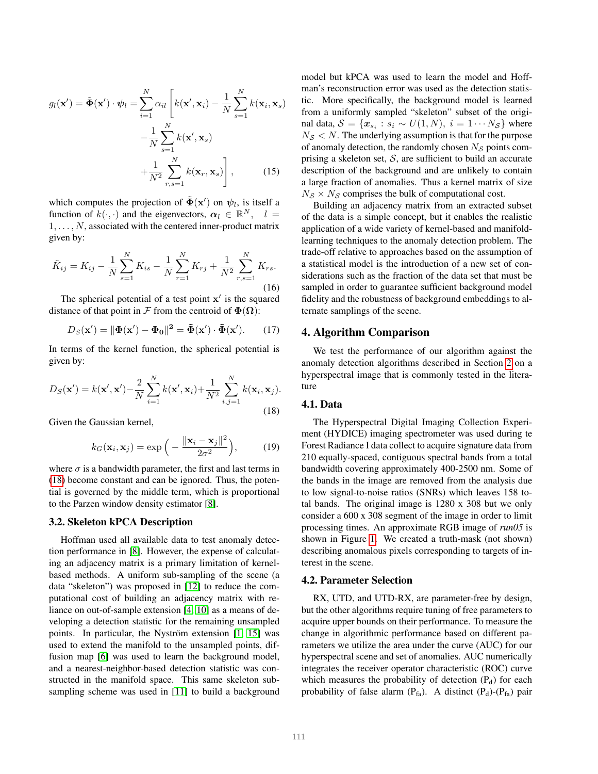$$
g_l(\mathbf{x}') = \tilde{\boldsymbol{\Phi}}(\mathbf{x}') \cdot \boldsymbol{\psi}_l = \sum_{i=1}^N \alpha_{il} \left[ k(\mathbf{x}', \mathbf{x}_i) - \frac{1}{N} \sum_{s=1}^N k(\mathbf{x}_i, \mathbf{x}_s) - \frac{1}{N} \sum_{s=1}^N k(\mathbf{x}', \mathbf{x}_s) + \frac{1}{N^2} \sum_{r,s=1}^N k(\mathbf{x}_r, \mathbf{x}_s) \right],
$$
 (15)

which computes the projection of  $\tilde{\Phi}(\mathbf{x}')$  on  $\psi_l$ , is itself a function of  $k(\cdot, \cdot)$  and the eigenvectors,  $\alpha_l \in \mathbb{R}^N$ ,  $l =$  $1, \ldots, N$ , associated with the centered inner-product matrix given by:

$$
\tilde{K}_{ij} = K_{ij} - \frac{1}{N} \sum_{s=1}^{N} K_{is} - \frac{1}{N} \sum_{r=1}^{N} K_{rj} + \frac{1}{N^2} \sum_{r,s=1}^{N} K_{rs}.
$$
\n(16)

The spherical potential of a test point  $x'$  is the squared distance of that point in F from the centroid of  $\Phi(\Omega)$ :

$$
D_S(\mathbf{x}') = \|\mathbf{\Phi}(\mathbf{x}') - \mathbf{\Phi_0}\|^2 = \tilde{\mathbf{\Phi}}(\mathbf{x}') \cdot \tilde{\mathbf{\Phi}}(\mathbf{x}'). \qquad (17)
$$

In terms of the kernel function, the spherical potential is given by:

<span id="page-3-1"></span>
$$
D_S(\mathbf{x}') = k(\mathbf{x}', \mathbf{x}') - \frac{2}{N} \sum_{i=1}^N k(\mathbf{x}', \mathbf{x}_i) + \frac{1}{N^2} \sum_{i,j=1}^N k(\mathbf{x}_i, \mathbf{x}_j).
$$
\n(18)

Given the Gaussian kernel,

$$
k_G(\mathbf{x}_i, \mathbf{x}_j) = \exp\left(-\frac{\|\mathbf{x}_i - \mathbf{x}_j\|^2}{2\sigma^2}\right),\tag{19}
$$

where  $\sigma$  is a bandwidth parameter, the first and last terms in [\(18\)](#page-3-1) become constant and can be ignored. Thus, the potential is governed by the middle term, which is proportional to the Parzen window density estimator [\[8\]](#page-6-3).

#### 3.2. Skeleton kPCA Description

Hoffman used all available data to test anomaly detection performance in [\[8\]](#page-6-3). However, the expense of calculating an adjacency matrix is a primary limitation of kernelbased methods. A uniform sub-sampling of the scene (a data "skeleton") was proposed in [\[12\]](#page-6-8) to reduce the computational cost of building an adjacency matrix with reliance on out-of-sample extension [\[4,](#page-5-4) [10\]](#page-6-9) as a means of developing a detection statistic for the remaining unsampled points. In particular, the Nyström extension  $[1, 15]$  $[1, 15]$  was used to extend the manifold to the unsampled points, diffusion map [\[6\]](#page-6-11) was used to learn the background model, and a nearest-neighbor-based detection statistic was constructed in the manifold space. This same skeleton subsampling scheme was used in [\[11\]](#page-6-12) to build a background model but kPCA was used to learn the model and Hoffman's reconstruction error was used as the detection statistic. More specifically, the background model is learned from a uniformly sampled "skeleton" subset of the original data,  $S = \{x_{s_i} : s_i \sim U(1, N), i = 1 \cdots N_S\}$  where  $N<sub>S</sub> < N$ . The underlying assumption is that for the purpose of anomaly detection, the randomly chosen  $N<sub>S</sub>$  points comprising a skeleton set,  $S$ , are sufficient to build an accurate description of the background and are unlikely to contain a large fraction of anomalies. Thus a kernel matrix of size  $N_S \times N_S$  comprises the bulk of computational cost.

Building an adjacency matrix from an extracted subset of the data is a simple concept, but it enables the realistic application of a wide variety of kernel-based and manifoldlearning techniques to the anomaly detection problem. The trade-off relative to approaches based on the assumption of a statistical model is the introduction of a new set of considerations such as the fraction of the data set that must be sampled in order to guarantee sufficient background model fidelity and the robustness of background embeddings to alternate samplings of the scene.

## <span id="page-3-0"></span>4. Algorithm Comparison

We test the performance of our algorithm against the anomaly detection algorithms described in Section [2](#page-1-0) on a hyperspectral image that is commonly tested in the literature

## 4.1. Data

The Hyperspectral Digital Imaging Collection Experiment (HYDICE) imaging spectrometer was used during te Forest Radiance I data collect to acquire signature data from 210 equally-spaced, contiguous spectral bands from a total bandwidth covering approximately 400-2500 nm. Some of the bands in the image are removed from the analysis due to low signal-to-noise ratios (SNRs) which leaves 158 total bands. The original image is 1280 x 308 but we only consider a 600 x 308 segment of the image in order to limit processing times. An approximate RGB image of *run05* is shown in Figure [1.](#page-4-0) We created a truth-mask (not shown) describing anomalous pixels corresponding to targets of interest in the scene.

## 4.2. Parameter Selection

RX, UTD, and UTD-RX, are parameter-free by design, but the other algorithms require tuning of free parameters to acquire upper bounds on their performance. To measure the change in algorithmic performance based on different parameters we utilize the area under the curve (AUC) for our hyperspectral scene and set of anomalies. AUC numerically integrates the receiver operator characteristic (ROC) curve which measures the probability of detection  $(P_d)$  for each probability of false alarm  $(P_{fa})$ . A distinct  $(P_d)$ - $(P_{fa})$  pair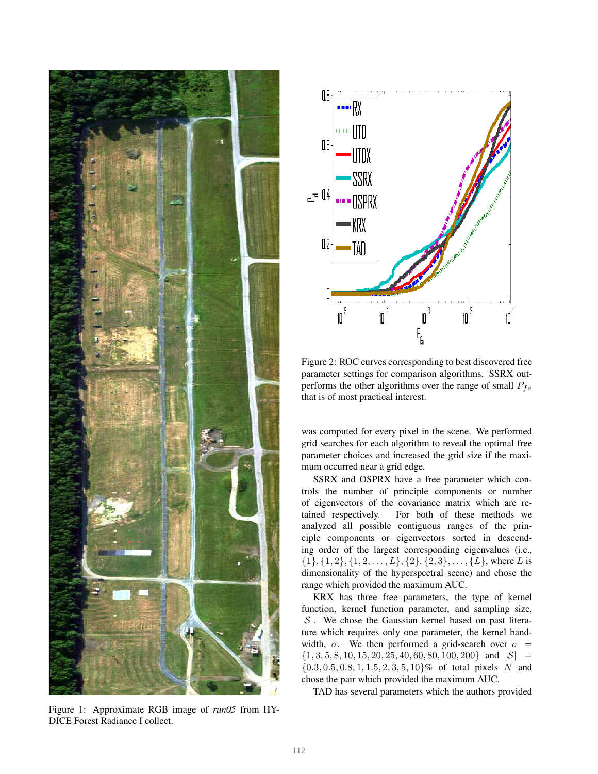<span id="page-4-0"></span>

Figure 1: Approximate RGB image of *run05* from HY-DICE Forest Radiance I collect.

<span id="page-4-1"></span>

Figure 2: ROC curves corresponding to best discovered free parameter settings for comparison algorithms. SSRX outperforms the other algorithms over the range of small  $P_{fa}$ that is of most practical interest.

was computed for every pixel in the scene. We performed grid searches for each algorithm to reveal the optimal free parameter choices and increased the grid size if the maximum occurred near a grid edge.

SSRX and OSPRX have a free parameter which controls the number of principle components or number of eigenvectors of the covariance matrix which are retained respectively. For both of these methods we analyzed all possible contiguous ranges of the principle components or eigenvectors sorted in descending order of the largest corresponding eigenvalues (i.e.,  $\{1\}, \{1, 2\}, \{1, 2, \ldots, L\}, \{2\}, \{2, 3\}, \ldots, \{L\}, \text{where } L \text{ is }$ dimensionality of the hyperspectral scene) and chose the range which provided the maximum AUC.

KRX has three free parameters, the type of kernel function, kernel function parameter, and sampling size,  $|S|$ . We chose the Gaussian kernel based on past literature which requires only one parameter, the kernel bandwidth,  $\sigma$ . We then performed a grid-search over  $\sigma$  =  ${1, 3, 5, 8, 10, 15, 20, 25, 40, 60, 80, 100, 200}$  and  $|S|$  =  $\{0.3, 0.5, 0.8, 1, 1.5, 2, 3, 5, 10\}$ % of total pixels N and chose the pair which provided the maximum AUC.

TAD has several parameters which the authors provided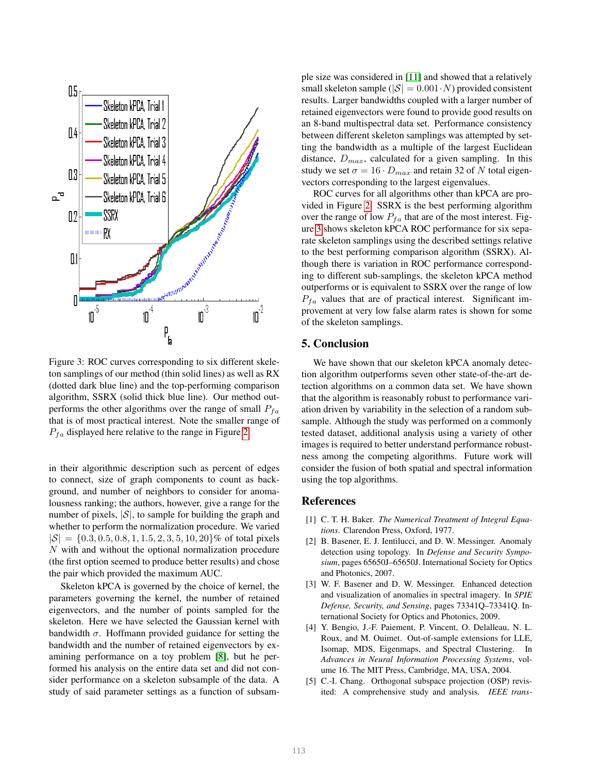<span id="page-5-6"></span>

Figure 3: ROC curves corresponding to six different skeleton samplings of our method (thin solid lines) as well as RX (dotted dark blue line) and the top-performing comparison algorithm, SSRX (solid thick blue line). Our method outperforms the other algorithms over the range of small  $P_{fa}$ that is of most practical interest. Note the smaller range of  $P_{fa}$  displayed here relative to the range in Figure [2](#page-4-1)

in their algorithmic description such as percent of edges to connect, size of graph components to count as background, and number of neighbors to consider for anomalousness ranking; the authors, however, give a range for the number of pixels,  $|S|$ , to sample for building the graph and whether to perform the normalization procedure. We varied  $|\mathcal{S}| = \{0.3, 0.5, 0.8, 1, 1.5, 2, 3, 5, 10, 20\}\%$  of total pixels N with and without the optional normalization procedure (the first option seemed to produce better results) and chose the pair which provided the maximum AUC.

Skeleton kPCA is governed by the choice of kernel, the parameters governing the kernel, the number of retained eigenvectors, and the number of points sampled for the skeleton. Here we have selected the Gaussian kernel with bandwidth  $\sigma$ . Hoffmann provided guidance for setting the bandwidth and the number of retained eigenvectors by examining performance on a toy problem [\[8\]](#page-6-3), but he performed his analysis on the entire data set and did not consider performance on a skeleton subsample of the data. A study of said parameter settings as a function of subsample size was considered in [\[11\]](#page-6-12) and showed that a relatively small skeleton sample ( $|\mathcal{S}| = 0.001 \cdot N$ ) provided consistent results. Larger bandwidths coupled with a larger number of retained eigenvectors were found to provide good results on an 8-band multispectral data set. Performance consistency between different skeleton samplings was attempted by setting the bandwidth as a multiple of the largest Euclidean distance,  $D_{max}$ , calculated for a given sampling. In this study we set  $\sigma = 16 \cdot D_{max}$  and retain 32 of N total eigenvectors corresponding to the largest eigenvalues.

ROC curves for all algorithms other than kPCA are provided in Figure [2.](#page-4-1) SSRX is the best performing algorithm over the range of low  $P_{fa}$  that are of the most interest. Figure [3](#page-5-6) shows skeleton kPCA ROC performance for six separate skeleton samplings using the described settings relative to the best performing comparison algorithm (SSRX). Although there is variation in ROC performance corresponding to different sub-samplings, the skeleton kPCA method outperforms or is equivalent to SSRX over the range of low  $P_{fa}$  values that are of practical interest. Significant improvement at very low false alarm rates is shown for some of the skeleton samplings.

# <span id="page-5-1"></span>5. Conclusion

We have shown that our skeleton kPCA anomaly detection algorithm outperforms seven other state-of-the-art detection algorithms on a common data set. We have shown that the algorithm is reasonably robust to performance variation driven by variability in the selection of a random subsample. Although the study was performed on a commonly tested dataset, additional analysis using a variety of other images is required to better understand performance robustness among the competing algorithms. Future work will consider the fusion of both spatial and spectral information using the top algorithms.

## References

- <span id="page-5-5"></span>[1] C. T. H. Baker. *The Numerical Treatment of Integral Equations*. Clarendon Press, Oxford, 1977.
- <span id="page-5-0"></span>[2] B. Basener, E. J. Ientilucci, and D. W. Messinger. Anomaly detection using topology. In *Defense and Security Symposium*, pages 65650J–65650J. International Society for Optics and Photonics, 2007.
- <span id="page-5-3"></span>[3] W. F. Basener and D. W. Messinger. Enhanced detection and visualization of anomalies in spectral imagery. In *SPIE Defense, Security, and Sensing*, pages 73341Q–73341Q. International Society for Optics and Photonics, 2009.
- <span id="page-5-4"></span>[4] Y. Bengio, J.-F. Paiement, P. Vincent, O. Delalleau, N. L. Roux, and M. Ouimet. Out-of-sample extensions for LLE, Isomap, MDS, Eigenmaps, and Spectral Clustering. In *Advances in Neural Information Processing Systems*, volume 16. The MIT Press, Cambridge, MA, USA, 2004.
- <span id="page-5-2"></span>[5] C.-I. Chang. Orthogonal subspace projection (OSP) revisited: A comprehensive study and analysis. *IEEE trans-*